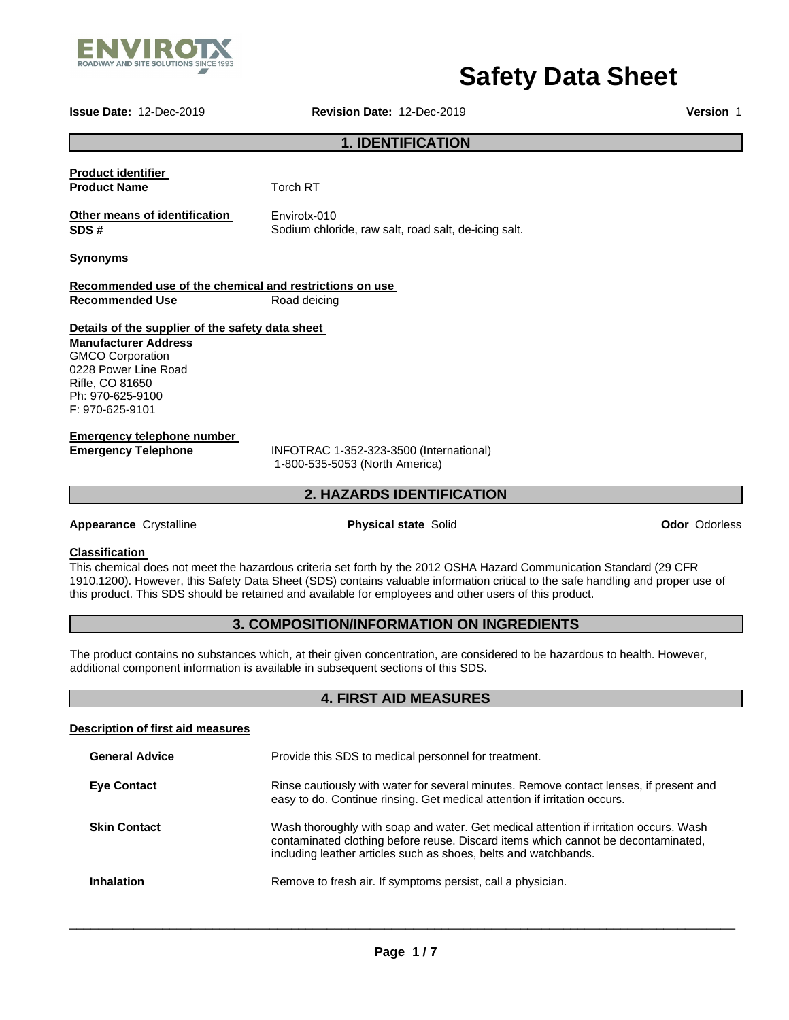

# **Safety Data Sheet**

**Issue Date:** 12-Dec-2019 **Revision Date:** 12-Dec-2019 **Version** 1

# **1. IDENTIFICATION**

| Torch RT                                                                                 |  |  |  |
|------------------------------------------------------------------------------------------|--|--|--|
| Envirotx-010<br>Sodium chloride, raw salt, road salt, de-icing salt.                     |  |  |  |
|                                                                                          |  |  |  |
| Recommended use of the chemical and restrictions on use                                  |  |  |  |
| Road deicing                                                                             |  |  |  |
| Details of the supplier of the safety data sheet                                         |  |  |  |
|                                                                                          |  |  |  |
|                                                                                          |  |  |  |
|                                                                                          |  |  |  |
|                                                                                          |  |  |  |
|                                                                                          |  |  |  |
|                                                                                          |  |  |  |
| INFOTRAC 1-352-323-3500 (International)<br>1-800-535-5053 (North America)                |  |  |  |
|                                                                                          |  |  |  |
| <b>2. HAZARDS IDENTIFICATION</b>                                                         |  |  |  |
| <b>Physical state Solid</b>                                                              |  |  |  |
| This chamical does not meet the hazardous criteria set forth by the 2012 OSHA Hazard Com |  |  |  |
|                                                                                          |  |  |  |

**Ador Odorless** 

Inis chemical does not meet the hazardous criteria set forth by the 2012 OSHA Hazard Communication Standard (29 CFR 1910.1200). However, this Safety Data Sheet (SDS) contains valuable information critical to the safe handling and proper use of this product. This SDS should be retained and available for employees and other users of this product.

# **3. COMPOSITION/INFORMATION ON INGREDIENTS**

The product contains no substances which, at their given concentration, are considered to be hazardous to health. However, additional component information is available in subsequent sections of this SDS.

# **4. FIRST AID MEASURES**

| Description of first aid measures |                                                                                                                                                                                                                                               |
|-----------------------------------|-----------------------------------------------------------------------------------------------------------------------------------------------------------------------------------------------------------------------------------------------|
| <b>General Advice</b>             | Provide this SDS to medical personnel for treatment.                                                                                                                                                                                          |
| <b>Eye Contact</b>                | Rinse cautiously with water for several minutes. Remove contact lenses, if present and<br>easy to do. Continue rinsing. Get medical attention if irritation occurs.                                                                           |
| <b>Skin Contact</b>               | Wash thoroughly with soap and water. Get medical attention if irritation occurs. Wash<br>contaminated clothing before reuse. Discard items which cannot be decontaminated,<br>including leather articles such as shoes, belts and watchbands. |
| <b>Inhalation</b>                 | Remove to fresh air. If symptoms persist, call a physician.                                                                                                                                                                                   |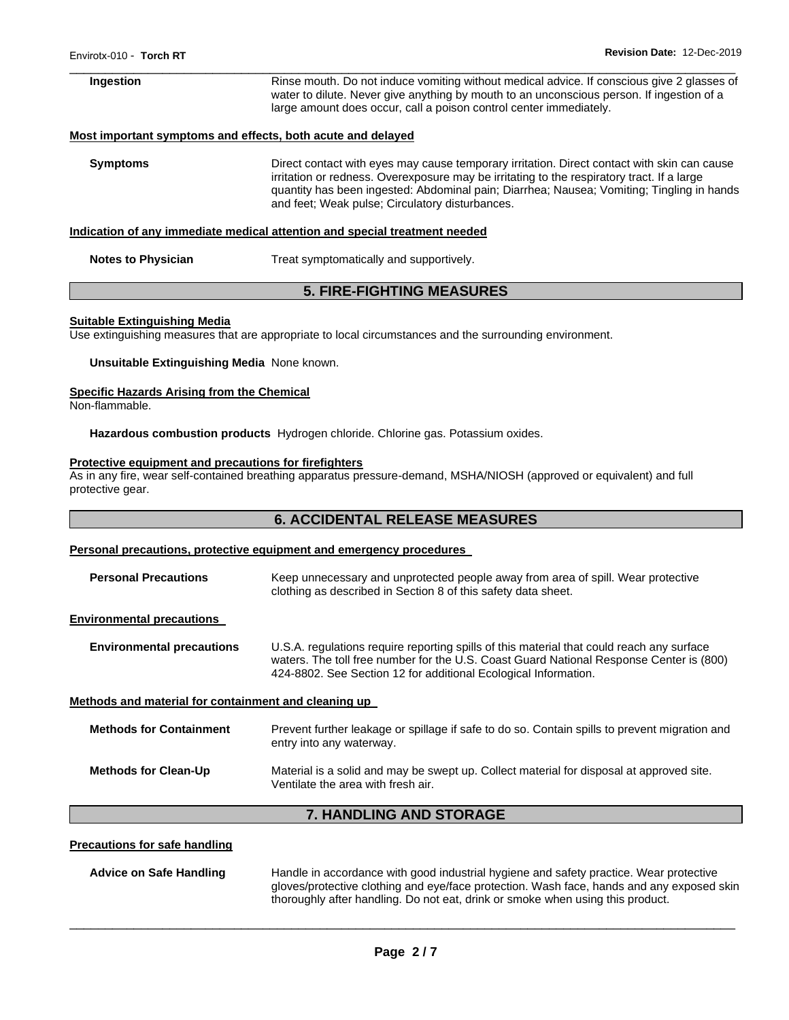| Ingestion                 | Rinse mouth. Do not induce vomiting without medical advice. If conscious give 2 glasses of<br>water to dilute. Never give anything by mouth to an unconscious person. If ingestion of a<br>large amount does occur, call a poison control center immediately.                                                                             |
|---------------------------|-------------------------------------------------------------------------------------------------------------------------------------------------------------------------------------------------------------------------------------------------------------------------------------------------------------------------------------------|
|                           | Most important symptoms and effects, both acute and delayed                                                                                                                                                                                                                                                                               |
| <b>Symptoms</b>           | Direct contact with eyes may cause temporary irritation. Direct contact with skin can cause<br>irritation or redness. Overexposure may be irritating to the respiratory tract. If a large<br>quantity has been ingested: Abdominal pain; Diarrhea; Nausea; Vomiting; Tingling in hands<br>and feet; Weak pulse; Circulatory disturbances. |
|                           | Indication of any immediate medical attention and special treatment needed                                                                                                                                                                                                                                                                |
| <b>Notes to Physician</b> | Treat symptomatically and supportively.                                                                                                                                                                                                                                                                                                   |

### **5. FIRE-FIGHTING MEASURES**

### **Suitable Extinguishing Media**

Use extinguishing measures that are appropriate to local circumstances and the surrounding environment.

### **Unsuitable Extinguishing Media** None known.

### **Specific Hazards Arising from the Chemical**

Non-flammable.

**Hazardous combustion products** Hydrogen chloride. Chlorine gas. Potassium oxides.

### **Protective equipment and precautions for firefighters**

As in any fire, wear self-contained breathing apparatus pressure-demand, MSHA/NIOSH (approved or equivalent) and full protective gear.

# **6. ACCIDENTAL RELEASE MEASURES**

### **Personal precautions, protective equipment and emergency procedures**

| <b>Personal Precautions</b>                          | Keep unnecessary and unprotected people away from area of spill. Wear protective<br>clothing as described in Section 8 of this safety data sheet.                                                                                                       |  |
|------------------------------------------------------|---------------------------------------------------------------------------------------------------------------------------------------------------------------------------------------------------------------------------------------------------------|--|
| <b>Environmental precautions</b>                     |                                                                                                                                                                                                                                                         |  |
| <b>Environmental precautions</b>                     | U.S.A. regulations require reporting spills of this material that could reach any surface<br>waters. The toll free number for the U.S. Coast Guard National Response Center is (800)<br>424-8802. See Section 12 for additional Ecological Information. |  |
| Methods and material for containment and cleaning up |                                                                                                                                                                                                                                                         |  |
| <b>Methods for Containment</b>                       | Prevent further leakage or spillage if safe to do so. Contain spills to prevent migration and<br>entry into any waterway.                                                                                                                               |  |
| <b>Methods for Clean-Up</b>                          | Material is a solid and may be swept up. Collect material for disposal at approved site.<br>Ventilate the area with fresh air.                                                                                                                          |  |
| <b>7. HANDLING AND STORAGE</b>                       |                                                                                                                                                                                                                                                         |  |

### **Precautions for safe handling**

**Advice on Safe Handling** Handle in accordance with good industrial hygiene and safety practice. Wear protective gloves/protective clothing and eye/face protection. Wash face, hands and any exposed skin thoroughly after handling. Do not eat, drink or smoke when using this product.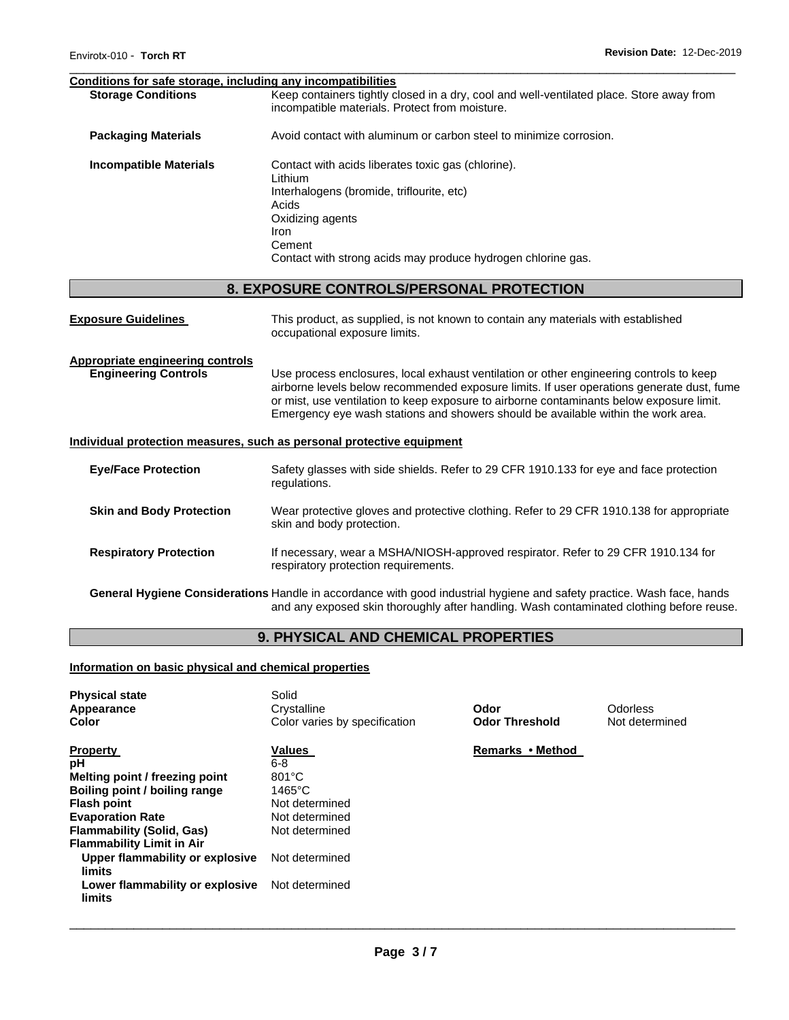### **Conditions for safe storage, including any incompatibilities**

| <b>Storage Conditions</b>     | Keep containers tightly closed in a dry, cool and well-ventilated place. Store away from<br>incompatible materials. Protect from moisture.                                                                                 |
|-------------------------------|----------------------------------------------------------------------------------------------------------------------------------------------------------------------------------------------------------------------------|
| <b>Packaging Materials</b>    | Avoid contact with aluminum or carbon steel to minimize corrosion.                                                                                                                                                         |
| <b>Incompatible Materials</b> | Contact with acids liberates toxic gas (chlorine).<br>Lithium<br>Interhalogens (bromide, triflourite, etc)<br>Acids<br>Oxidizing agents<br>Iron.<br>Cement<br>Contact with strong acids may produce hydrogen chlorine gas. |

# **8. EXPOSURE CONTROLS/PERSONAL PROTECTION**

| <b>Exposure Guidelines</b>                                            | This product, as supplied, is not known to contain any materials with established<br>occupational exposure limits.                                                                                                                                                                                                                                                    |  |
|-----------------------------------------------------------------------|-----------------------------------------------------------------------------------------------------------------------------------------------------------------------------------------------------------------------------------------------------------------------------------------------------------------------------------------------------------------------|--|
| Appropriate engineering controls<br><b>Engineering Controls</b>       | Use process enclosures, local exhaust ventilation or other engineering controls to keep<br>airborne levels below recommended exposure limits. If user operations generate dust, fume<br>or mist, use ventilation to keep exposure to airborne contaminants below exposure limit.<br>Emergency eye wash stations and showers should be available within the work area. |  |
| Individual protection measures, such as personal protective equipment |                                                                                                                                                                                                                                                                                                                                                                       |  |
| <b>Eve/Face Protection</b>                                            | Safety glasses with side shields. Refer to 29 CFR 1910.133 for eye and face protection<br>regulations.                                                                                                                                                                                                                                                                |  |
| <b>Skin and Body Protection</b>                                       | Wear protective gloves and protective clothing. Refer to 29 CFR 1910.138 for appropriate<br>skin and body protection.                                                                                                                                                                                                                                                 |  |
| <b>Respiratory Protection</b>                                         | If necessary, wear a MSHA/NIOSH-approved respirator. Refer to 29 CFR 1910.134 for<br>respiratory protection requirements.                                                                                                                                                                                                                                             |  |

**General Hygiene Considerations** Handle in accordance with good industrial hygiene and safety practice. Wash face, hands and any exposed skin thoroughly after handling. Wash contaminated clothing before reuse.

# **9. PHYSICAL AND CHEMICAL PROPERTIES**

### **Information on basic physical and chemical properties**

| <b>Physical state</b><br>Appearance<br>Color | Solid<br>Crystalline<br>Color varies by specification | Odor<br><b>Odor Threshold</b> | Odorless<br>Not determined |
|----------------------------------------------|-------------------------------------------------------|-------------------------------|----------------------------|
| <b>Property</b>                              | Values                                                | Remarks • Method              |                            |
| рH                                           | $6 - 8$                                               |                               |                            |
| Melting point / freezing point               | $801^{\circ}$ C                                       |                               |                            |
| Boiling point / boiling range                | $1465^{\circ}$ C                                      |                               |                            |
| <b>Flash point</b>                           | Not determined                                        |                               |                            |
| <b>Evaporation Rate</b>                      | Not determined                                        |                               |                            |
| <b>Flammability (Solid, Gas)</b>             | Not determined                                        |                               |                            |
| <b>Flammability Limit in Air</b>             |                                                       |                               |                            |
| Upper flammability or explosive<br>limits    | Not determined                                        |                               |                            |
| Lower flammability or explosive<br>limits    | Not determined                                        |                               |                            |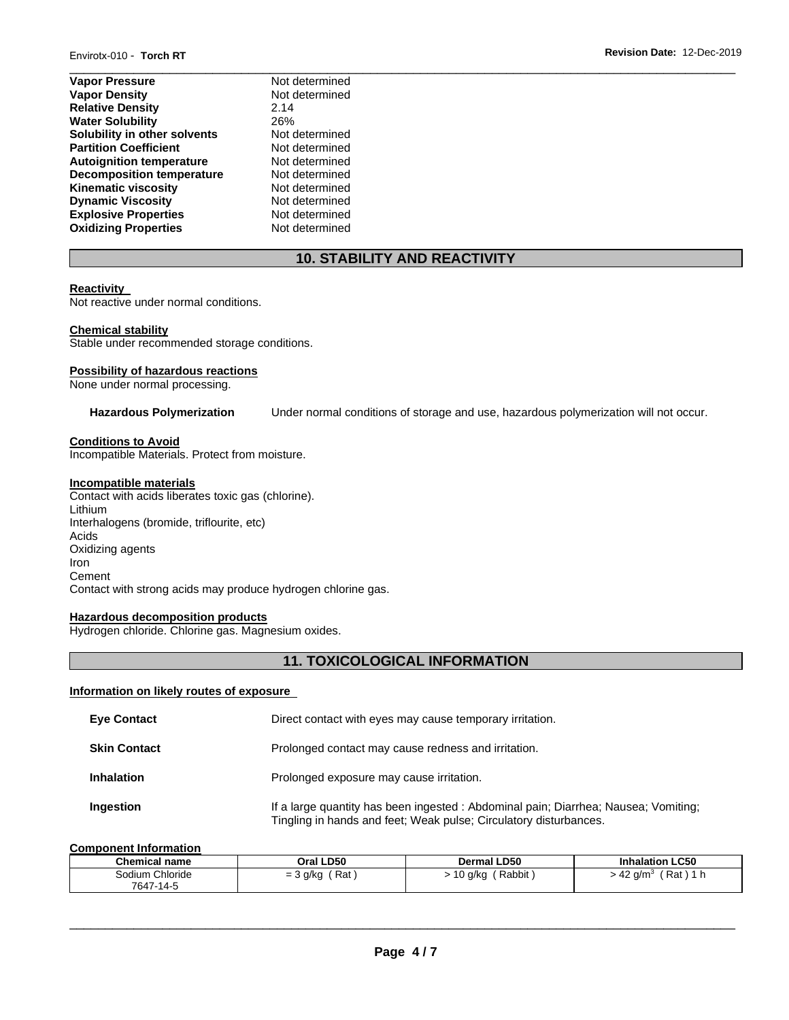| Not determined |
|----------------|
| Not determined |
| 2.14           |
| 26%            |
| Not determined |
| Not determined |
| Not determined |
| Not determined |
| Not determined |
| Not determined |
| Not determined |
| Not determined |
|                |

# **10. STABILITY AND REACTIVITY**

### **Reactivity**

Not reactive under normal conditions.

### **Chemical stability**

Stable under recommended storage conditions.

### **Possibility of hazardous reactions**

None under normal processing.

**Hazardous Polymerization** Under normal conditions of storage and use, hazardous polymerization will not occur.

### **Conditions to Avoid**

Incompatible Materials. Protect from moisture.

# **Incompatible materials**

Contact with acids liberates toxic gas (chlorine). Lithium Interhalogens (bromide, triflourite, etc) Acids Oxidizing agents Iron **Cement** Contact with strong acids may produce hydrogen chlorine gas.

### **Hazardous decomposition products**

Hydrogen chloride. Chlorine gas. Magnesium oxides.

# **11. TOXICOLOGICAL INFORMATION**

### **Information on likely routes of exposure**

| <b>Eye Contact</b>  | Direct contact with eyes may cause temporary irritation.                                                                                                 |
|---------------------|----------------------------------------------------------------------------------------------------------------------------------------------------------|
| <b>Skin Contact</b> | Prolonged contact may cause redness and irritation.                                                                                                      |
| <b>Inhalation</b>   | Prolonged exposure may cause irritation.                                                                                                                 |
| Ingestion           | If a large quantity has been ingested : Abdominal pain; Diarrhea; Nausea; Vomiting;<br>Tingling in hands and feet; Weak pulse; Circulatory disturbances. |

### **Component Information**

| <b>Chemical name</b> | Oral LD50       | <b>Dermal LD50</b> | <b>Inhalation LC50</b>                       |
|----------------------|-----------------|--------------------|----------------------------------------------|
| Sodium Chloride      | Rat<br>= 3 g/kg | Rabbit<br>, g/ko   | Rat<br>. 42<br>a/m <sup>3</sup><br>. .<br>τ. |
| 7647-<br>$-14-5$     |                 |                    |                                              |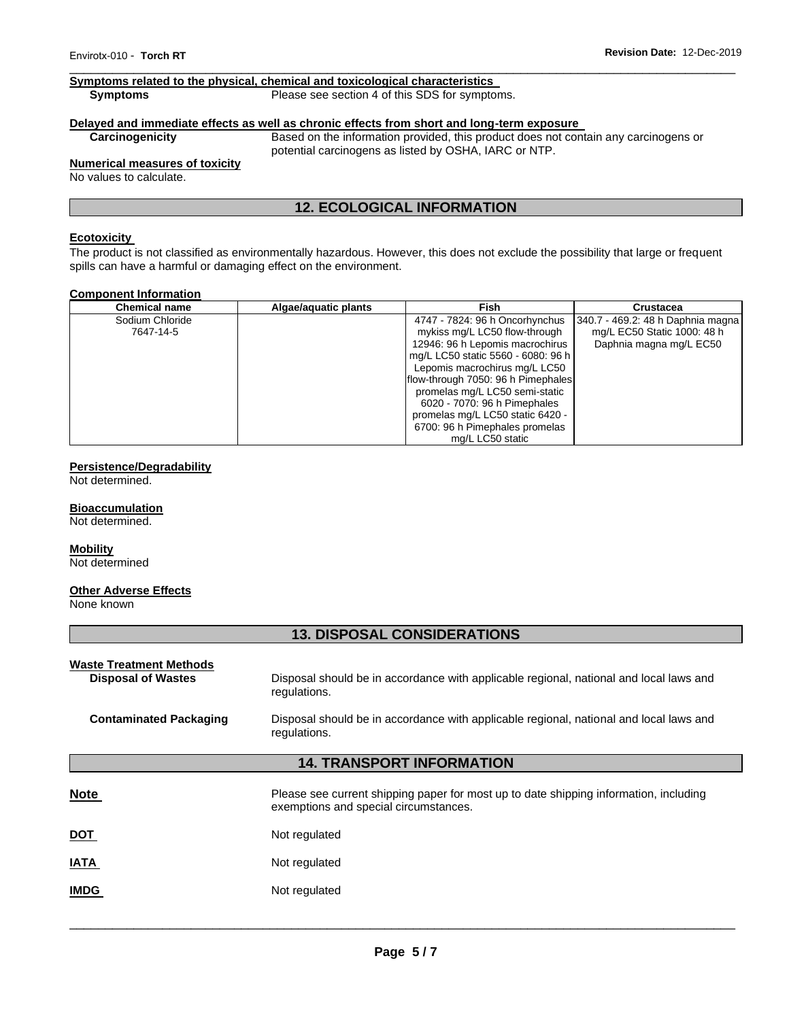### **Symptoms related to the physical, chemical and toxicological characteristics**

**Symptoms Please see section 4 of this SDS for symptoms.** 

# **Delayed and immediate effects as well as chronic effects from short and long-term exposure**

Based on the information provided, this product does not contain any carcinogens or potential carcinogens as listed by OSHA, IARC or NTP.

# **Numerical measures of toxicity**

No values to calculate.

# **12. ECOLOGICAL INFORMATION**

## **Ecotoxicity**

The product is not classified as environmentally hazardous. However, this does not exclude the possibility that large or frequent spills can have a harmful or damaging effect on the environment.

### **Component Information**

| <b>Chemical name</b> | Algae/aguatic plants | Fish                               | <b>Crustacea</b>                  |
|----------------------|----------------------|------------------------------------|-----------------------------------|
| Sodium Chloride      |                      | 4747 - 7824: 96 h Oncorhynchus     | 340.7 - 469.2: 48 h Daphnia magna |
| 7647-14-5            |                      | mykiss mg/L LC50 flow-through      | mg/L EC50 Static 1000: 48 h       |
|                      |                      | 12946: 96 h Lepomis macrochirus    | Daphnia magna mg/L EC50           |
|                      |                      | mg/L LC50 static 5560 - 6080: 96 h |                                   |
|                      |                      | Lepomis macrochirus mg/L LC50      |                                   |
|                      |                      | flow-through 7050: 96 h Pimephales |                                   |
|                      |                      | promelas mg/L LC50 semi-static     |                                   |
|                      |                      | 6020 - 7070: 96 h Pimephales       |                                   |
|                      |                      | promelas mg/L LC50 static 6420 -   |                                   |
|                      |                      | 6700: 96 h Pimephales promelas     |                                   |
|                      |                      | mg/L LC50 static                   |                                   |

### **Persistence/Degradability**

Not determined.

#### **Bioaccumulation**

Not determined.

### **Mobility**

Not determined

### **Other Adverse Effects**

None known

### **13. DISPOSAL CONSIDERATIONS**

| <b>Waste Treatment Methods</b><br><b>Disposal of Wastes</b> | Disposal should be in accordance with applicable regional, national and local laws and<br>regulations.                         |  |
|-------------------------------------------------------------|--------------------------------------------------------------------------------------------------------------------------------|--|
| <b>Contaminated Packaging</b>                               | Disposal should be in accordance with applicable regional, national and local laws and<br>regulations.                         |  |
| <b>14. TRANSPORT INFORMATION</b>                            |                                                                                                                                |  |
| <b>Note</b>                                                 | Please see current shipping paper for most up to date shipping information, including<br>exemptions and special circumstances. |  |
| <u>DOT</u>                                                  | Not regulated                                                                                                                  |  |
| <b>IATA</b>                                                 | Not regulated                                                                                                                  |  |
| <b>IMDG</b>                                                 | Not regulated                                                                                                                  |  |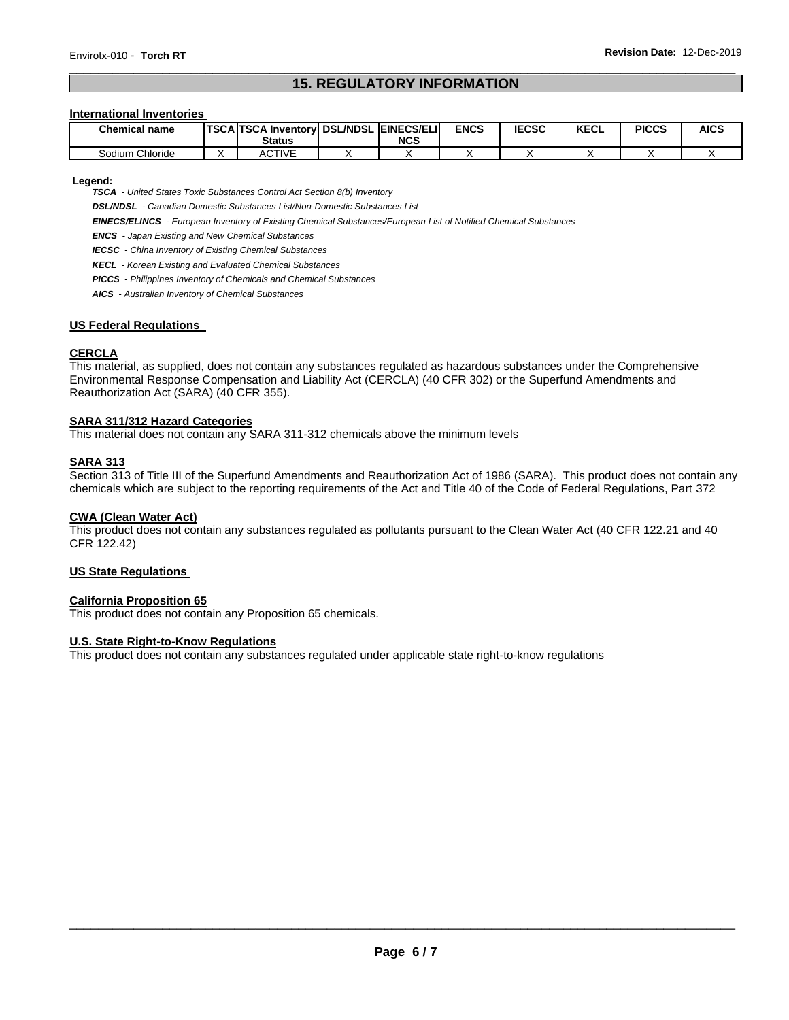# **15. REGULATORY INFORMATION**

### **International Inventories**

| <b>Chemical name</b> | <b>TSCA TSCA Inventory DSL/NDSL EINECS/ELI</b><br><b>Status</b> | <b>NCS</b> | <b>ENCS</b> | <b>IECSC</b> | <b>KECL</b> | <b>PICCS</b> | <b>AICS</b> |
|----------------------|-----------------------------------------------------------------|------------|-------------|--------------|-------------|--------------|-------------|
| Sodium Chloride      | ACTIVE                                                          |            |             |              |             |              |             |

**Legend:** 

*TSCA - United States Toxic Substances Control Act Section 8(b) Inventory* 

*DSL/NDSL - Canadian Domestic Substances List/Non-Domestic Substances List* 

*EINECS/ELINCS - European Inventory of Existing Chemical Substances/European List of Notified Chemical Substances* 

*ENCS - Japan Existing and New Chemical Substances* 

*IECSC - China Inventory of Existing Chemical Substances* 

*KECL - Korean Existing and Evaluated Chemical Substances* 

*PICCS - Philippines Inventory of Chemicals and Chemical Substances* 

*AICS - Australian Inventory of Chemical Substances* 

### **US Federal Regulations**

### **CERCLA**

This material, as supplied, does not contain any substances regulated as hazardous substances under the Comprehensive Environmental Response Compensation and Liability Act (CERCLA) (40 CFR 302) or the Superfund Amendments and Reauthorization Act (SARA) (40 CFR 355).

### **SARA 311/312 Hazard Categories**

This material does not contain any SARA 311-312 chemicals above the minimum levels

### **SARA 313**

Section 313 of Title III of the Superfund Amendments and Reauthorization Act of 1986 (SARA). This product does not contain any chemicals which are subject to the reporting requirements of the Act and Title 40 of the Code of Federal Regulations, Part 372

### **CWA (Clean Water Act)**

This product does not contain any substances regulated as pollutants pursuant to the Clean Water Act (40 CFR 122.21 and 40 CFR 122.42)

### **US State Regulations**

### **California Proposition 65**

This product does not contain any Proposition 65 chemicals.

### **U.S. State Right-to-Know Regulations**

This product does not contain any substances regulated under applicable state right-to-know regulations